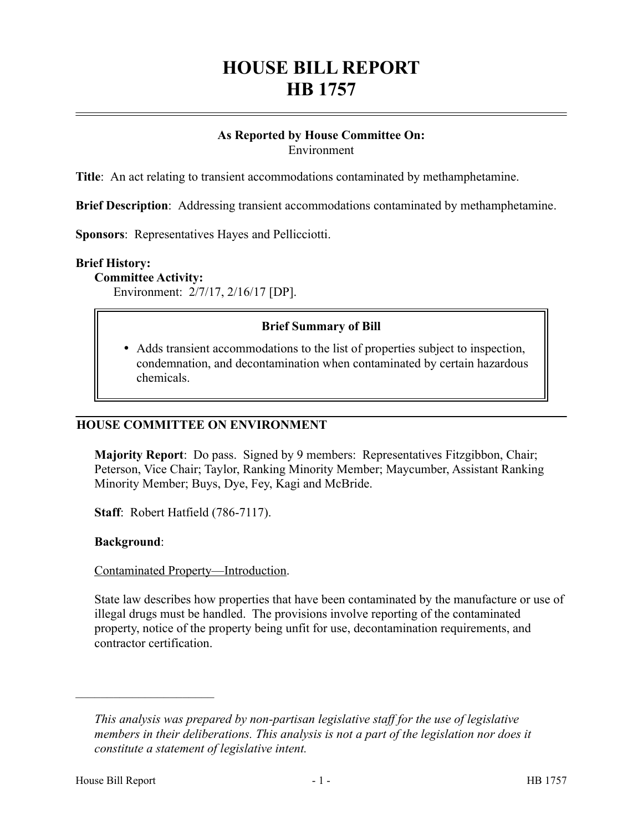# **HOUSE BILL REPORT HB 1757**

#### **As Reported by House Committee On:** Environment

**Title**: An act relating to transient accommodations contaminated by methamphetamine.

**Brief Description**: Addressing transient accommodations contaminated by methamphetamine.

**Sponsors**: Representatives Hayes and Pellicciotti.

#### **Brief History:**

**Committee Activity:**

Environment: 2/7/17, 2/16/17 [DP].

## **Brief Summary of Bill**

 Adds transient accommodations to the list of properties subject to inspection, condemnation, and decontamination when contaminated by certain hazardous chemicals.

#### **HOUSE COMMITTEE ON ENVIRONMENT**

**Majority Report**: Do pass. Signed by 9 members: Representatives Fitzgibbon, Chair; Peterson, Vice Chair; Taylor, Ranking Minority Member; Maycumber, Assistant Ranking Minority Member; Buys, Dye, Fey, Kagi and McBride.

**Staff**: Robert Hatfield (786-7117).

#### **Background**:

#### Contaminated Property—Introduction.

State law describes how properties that have been contaminated by the manufacture or use of illegal drugs must be handled. The provisions involve reporting of the contaminated property, notice of the property being unfit for use, decontamination requirements, and contractor certification.

––––––––––––––––––––––

*This analysis was prepared by non-partisan legislative staff for the use of legislative members in their deliberations. This analysis is not a part of the legislation nor does it constitute a statement of legislative intent.*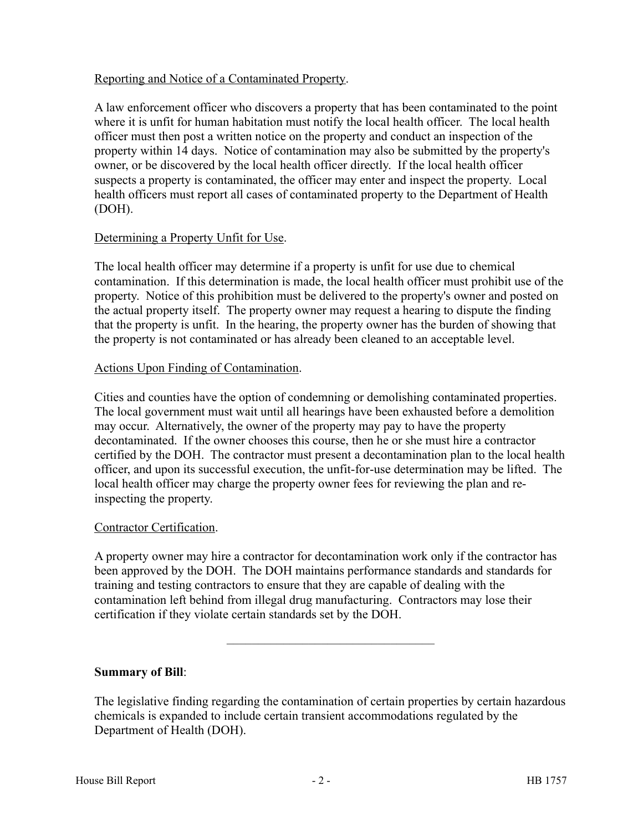# Reporting and Notice of a Contaminated Property.

A law enforcement officer who discovers a property that has been contaminated to the point where it is unfit for human habitation must notify the local health officer. The local health officer must then post a written notice on the property and conduct an inspection of the property within 14 days. Notice of contamination may also be submitted by the property's owner, or be discovered by the local health officer directly. If the local health officer suspects a property is contaminated, the officer may enter and inspect the property. Local health officers must report all cases of contaminated property to the Department of Health (DOH).

## Determining a Property Unfit for Use.

The local health officer may determine if a property is unfit for use due to chemical contamination. If this determination is made, the local health officer must prohibit use of the property. Notice of this prohibition must be delivered to the property's owner and posted on the actual property itself. The property owner may request a hearing to dispute the finding that the property is unfit. In the hearing, the property owner has the burden of showing that the property is not contaminated or has already been cleaned to an acceptable level.

## Actions Upon Finding of Contamination.

Cities and counties have the option of condemning or demolishing contaminated properties. The local government must wait until all hearings have been exhausted before a demolition may occur. Alternatively, the owner of the property may pay to have the property decontaminated. If the owner chooses this course, then he or she must hire a contractor certified by the DOH. The contractor must present a decontamination plan to the local health officer, and upon its successful execution, the unfit-for-use determination may be lifted. The local health officer may charge the property owner fees for reviewing the plan and reinspecting the property.

#### Contractor Certification.

A property owner may hire a contractor for decontamination work only if the contractor has been approved by the DOH. The DOH maintains performance standards and standards for training and testing contractors to ensure that they are capable of dealing with the contamination left behind from illegal drug manufacturing. Contractors may lose their certification if they violate certain standards set by the DOH.

# **Summary of Bill**:

The legislative finding regarding the contamination of certain properties by certain hazardous chemicals is expanded to include certain transient accommodations regulated by the Department of Health (DOH).

–––––––––––––––––––––––––––––––––